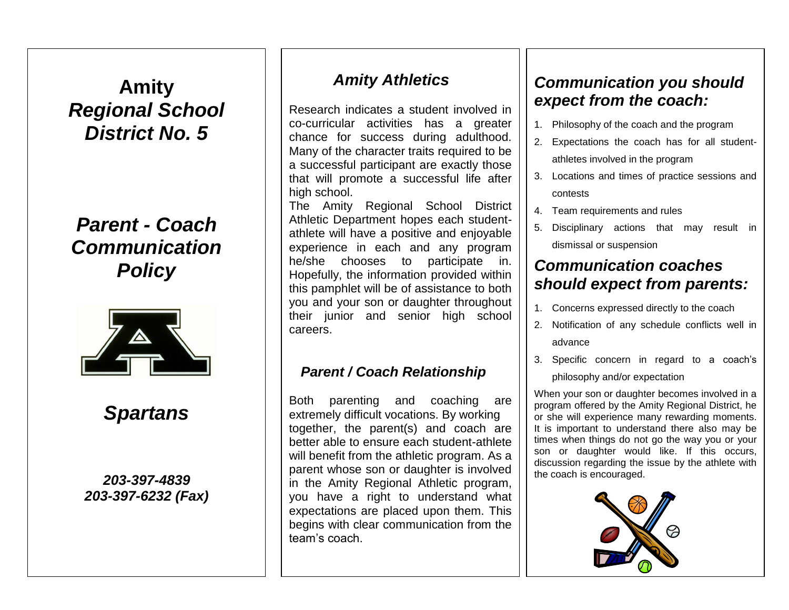# **Amity** *Regional School District No. 5*

# *Parent - Coach Communication Policy*



# *Spartans*

### *203-397-4839 203-397-6232 (Fax)*

## *Amity Athletics*

Research indicates a student involved in co-curricular activities has a greater chance for success during adulthood. Many of the character traits required to be a successful participant are exactly those that will promote a successful life after high school.

The Amity Regional School District Athletic Department hopes each studentathlete will have a positive and enjoyable experience in each and any program he/she chooses to participate in. Hopefully, the information provided within this pamphlet will be of assistance to both you and your son or daughter throughout their junior and senior high school careers.

### *Parent / Coach Relationship*

Both parenting and coaching are extremely difficult vocations. By working together, the parent(s) and coach are better able to ensure each student-athlete will benefit from the athletic program. As a parent whose son or daughter is involved in the Amity Regional Athletic program, you have a right to understand what expectations are placed upon them. This begins with clear communication from the team's coach.

## *Communication you should expect from the coach:*

- 1. Philosophy of the coach and the program
- 2. Expectations the coach has for all studentathletes involved in the program
- 3. Locations and times of practice sessions and contests
- 4. Team requirements and rules
- 5. Disciplinary actions that may result in dismissal or suspension

## *Communication coaches should expect from parents:*

- 1. Concerns expressed directly to the coach
- 2. Notification of any schedule conflicts well in advance
- 3. Specific concern in regard to a coach's philosophy and/or expectation

When your son or daughter becomes involved in a program offered by the Amity Regional District, he or she will experience many rewarding moments. It is important to understand there also may be times when things do not go the way you or your son or daughter would like. If this occurs, discussion regarding the issue by the athlete with the coach is encouraged.